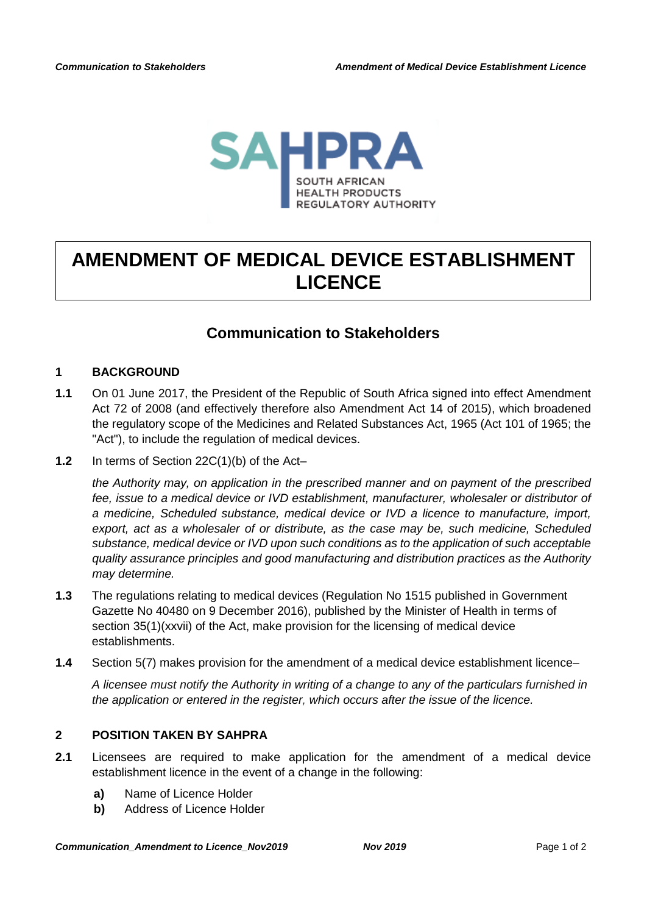

# **AMENDMENT OF MEDICAL DEVICE ESTABLISHMENT LICENCE**

## **Communication to Stakeholders**

### **1 BACKGROUND**

- **1.1** On 01 June 2017, the President of the Republic of South Africa signed into effect Amendment Act 72 of 2008 (and effectively therefore also Amendment Act 14 of 2015), which broadened the regulatory scope of the Medicines and Related Substances Act, 1965 (Act 101 of 1965; the "Act"), to include the regulation of medical devices.
- **1.2** In terms of Section 22C(1)(b) of the Act–

*the Authority may, on application in the prescribed manner and on payment of the prescribed fee, issue to a medical device or IVD establishment, manufacturer, wholesaler or distributor of a medicine, Scheduled substance, medical device or IVD a licence to manufacture, import, export, act as a wholesaler of or distribute, as the case may be, such medicine, Scheduled substance, medical device or IVD upon such conditions as to the application of such acceptable quality assurance principles and good manufacturing and distribution practices as the Authority may determine.*

- **1.3** The regulations relating to medical devices (Regulation No 1515 published in Government Gazette No 40480 on 9 December 2016), published by the Minister of Health in terms of section 35(1)(xxvii) of the Act, make provision for the licensing of medical device establishments.
- **1.4** Section 5(7) makes provision for the amendment of a medical device establishment licence–

*A licensee must notify the Authority in writing of a change to any of the particulars furnished in the application or entered in the register, which occurs after the issue of the licence.*

### **2 POSITION TAKEN BY SAHPRA**

- **2.1** Licensees are required to make application for the amendment of a medical device establishment licence in the event of a change in the following:
	- **a)** Name of Licence Holder
	- **b)** Address of Licence Holder